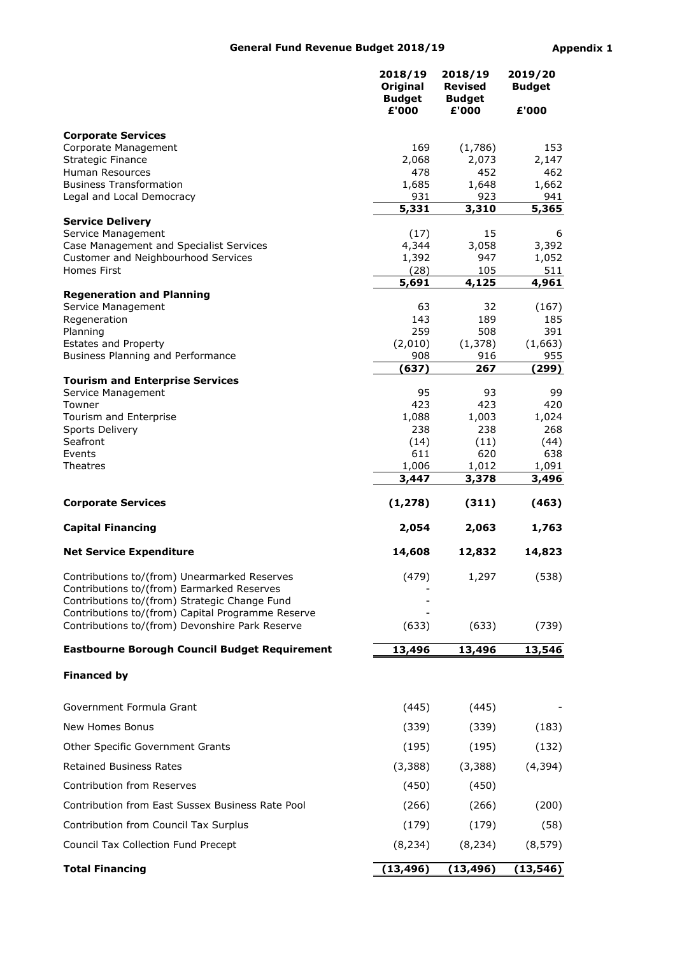## General Fund Revenue Budget 2018/19 Appendix 1

|                                                                                                      | 2018/19<br>Original<br><b>Budget</b><br>£'000 | 2018/19<br><b>Revised</b><br><b>Budget</b><br>£'000 | 2019/20<br><b>Budget</b><br>£'000 |
|------------------------------------------------------------------------------------------------------|-----------------------------------------------|-----------------------------------------------------|-----------------------------------|
| <b>Corporate Services</b>                                                                            |                                               |                                                     |                                   |
| Corporate Management                                                                                 | 169                                           | (1,786)                                             | 153                               |
| Strategic Finance<br>Human Resources                                                                 | 2,068<br>478                                  | 2,073<br>452                                        | 2,147<br>462                      |
| <b>Business Transformation</b>                                                                       | 1,685                                         | 1,648                                               | 1,662                             |
| Legal and Local Democracy                                                                            | 931                                           | 923                                                 | 941                               |
| <b>Service Delivery</b>                                                                              | 5,331                                         | 3,310                                               | 5,365                             |
| Service Management                                                                                   | (17)                                          | 15                                                  | 6                                 |
| Case Management and Specialist Services                                                              | 4,344                                         | 3,058                                               | 3,392                             |
| Customer and Neighbourhood Services<br>Homes First                                                   | 1,392                                         | 947                                                 | 1,052                             |
|                                                                                                      | (28)<br>5,691                                 | 105<br>4,125                                        | 511<br>4,961                      |
| <b>Regeneration and Planning</b>                                                                     |                                               |                                                     |                                   |
| Service Management<br>Regeneration                                                                   | 63<br>143                                     | 32<br>189                                           | (167)<br>185                      |
| Planning                                                                                             | 259                                           | 508                                                 | 391                               |
| <b>Estates and Property</b>                                                                          | (2,010)                                       | (1, 378)                                            | (1,663)                           |
| Business Planning and Performance                                                                    | 908                                           | 916                                                 | 955                               |
| <b>Tourism and Enterprise Services</b>                                                               | (637)                                         | 267                                                 | (299)                             |
| Service Management                                                                                   | 95                                            | 93                                                  | 99                                |
| Towner                                                                                               | 423                                           | 423                                                 | 420                               |
| Tourism and Enterprise<br>Sports Delivery                                                            | 1,088<br>238                                  | 1,003<br>238                                        | 1,024<br>268                      |
| Seafront                                                                                             | (14)                                          | (11)                                                | (44)                              |
| Events                                                                                               | 611                                           | 620                                                 | 638                               |
| Theatres                                                                                             | 1,006<br>3,447                                | 1,012<br>3,378                                      | 1,091<br>3,496                    |
|                                                                                                      |                                               |                                                     |                                   |
| <b>Corporate Services</b>                                                                            | (1, 278)                                      | (311)                                               | (463)                             |
| <b>Capital Financing</b>                                                                             | 2,054                                         | 2,063                                               | 1,763                             |
| <b>Net Service Expenditure</b>                                                                       | 14,608                                        | 12,832                                              | 14,823                            |
| Contributions to/(from) Unearmarked Reserves<br>Contributions to/(from) Earmarked Reserves           | (479)                                         | 1,297                                               | (538)                             |
| Contributions to/(from) Strategic Change Fund                                                        |                                               |                                                     |                                   |
| Contributions to/(from) Capital Programme Reserve<br>Contributions to/(from) Devonshire Park Reserve | (633)                                         | (633)                                               | (739)                             |
| Eastbourne Borough Council Budget Requirement                                                        | 13,496                                        | 13,496                                              | 13,546                            |
| <b>Financed by</b>                                                                                   |                                               |                                                     |                                   |
| Government Formula Grant                                                                             | (445)                                         | (445)                                               |                                   |
| New Homes Bonus                                                                                      | (339)                                         | (339)                                               | (183)                             |
| Other Specific Government Grants                                                                     | (195)                                         | (195)                                               | (132)                             |
| <b>Retained Business Rates</b>                                                                       | (3, 388)                                      | (3, 388)                                            | (4, 394)                          |
| Contribution from Reserves                                                                           | (450)                                         | (450)                                               |                                   |
| Contribution from East Sussex Business Rate Pool                                                     | (266)                                         | (266)                                               | (200)                             |
| Contribution from Council Tax Surplus                                                                | (179)                                         | (179)                                               | (58)                              |
| Council Tax Collection Fund Precept                                                                  | (8, 234)                                      | (8, 234)                                            | (8, 579)                          |
| <b>Total Financing</b>                                                                               | (13, 496)                                     | (13, 496)                                           | (13, 546)                         |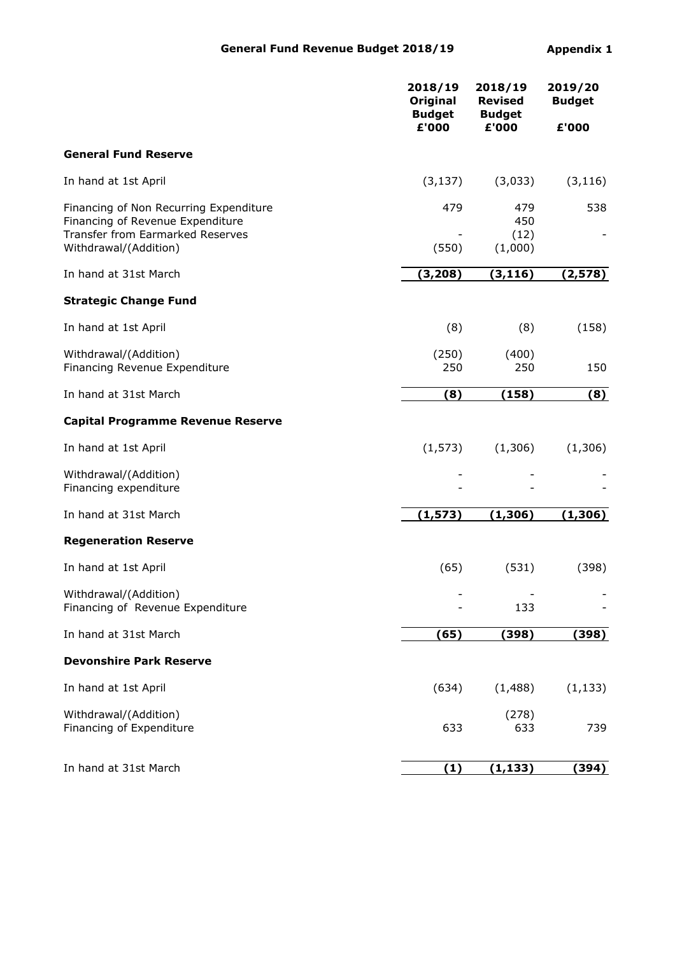|                                                                                                                                         | 2018/19<br>Original<br><b>Budget</b> | 2018/19<br><b>Revised</b><br><b>Budget</b> | 2019/20<br><b>Budget</b> |  |
|-----------------------------------------------------------------------------------------------------------------------------------------|--------------------------------------|--------------------------------------------|--------------------------|--|
|                                                                                                                                         | £'000                                | £'000                                      | £'000                    |  |
| <b>General Fund Reserve</b>                                                                                                             |                                      |                                            |                          |  |
| In hand at 1st April                                                                                                                    | (3, 137)                             | (3,033)                                    | (3, 116)                 |  |
| Financing of Non Recurring Expenditure<br>Financing of Revenue Expenditure<br>Transfer from Earmarked Reserves<br>Withdrawal/(Addition) | 479<br>(550)                         | 479<br>450<br>(12)<br>(1,000)              | 538                      |  |
| In hand at 31st March                                                                                                                   | (3, 208)                             | (3, 116)                                   | (2, 578)                 |  |
| <b>Strategic Change Fund</b>                                                                                                            |                                      |                                            |                          |  |
| In hand at 1st April                                                                                                                    | (8)                                  | (8)                                        | (158)                    |  |
| Withdrawal/(Addition)<br>Financing Revenue Expenditure                                                                                  | (250)<br>250                         | (400)<br>250                               | 150                      |  |
| In hand at 31st March                                                                                                                   | (8)                                  | (158)                                      | (8)                      |  |
| <b>Capital Programme Revenue Reserve</b>                                                                                                |                                      |                                            |                          |  |
| In hand at 1st April                                                                                                                    | (1, 573)                             | (1,306)                                    | (1,306)                  |  |
| Withdrawal/(Addition)<br>Financing expenditure                                                                                          |                                      |                                            |                          |  |
| In hand at 31st March                                                                                                                   | (1, 573)                             | (1, 306)                                   | (1, 306)                 |  |
| <b>Regeneration Reserve</b>                                                                                                             |                                      |                                            |                          |  |
| In hand at 1st April                                                                                                                    | (65)                                 | (531)                                      | (398)                    |  |
| Withdrawal/(Addition)<br>Financing of Revenue Expenditure                                                                               |                                      | 133                                        |                          |  |
| In hand at 31st March                                                                                                                   | (65)                                 | (398)                                      | (398)                    |  |
| <b>Devonshire Park Reserve</b>                                                                                                          |                                      |                                            |                          |  |
| In hand at 1st April                                                                                                                    | (634)                                | (1,488)                                    | (1, 133)                 |  |
| Withdrawal/(Addition)<br>Financing of Expenditure                                                                                       | 633                                  | (278)<br>633                               | 739                      |  |
| In hand at 31st March                                                                                                                   | (1)                                  | (1, 133)                                   | (394)                    |  |
|                                                                                                                                         |                                      |                                            |                          |  |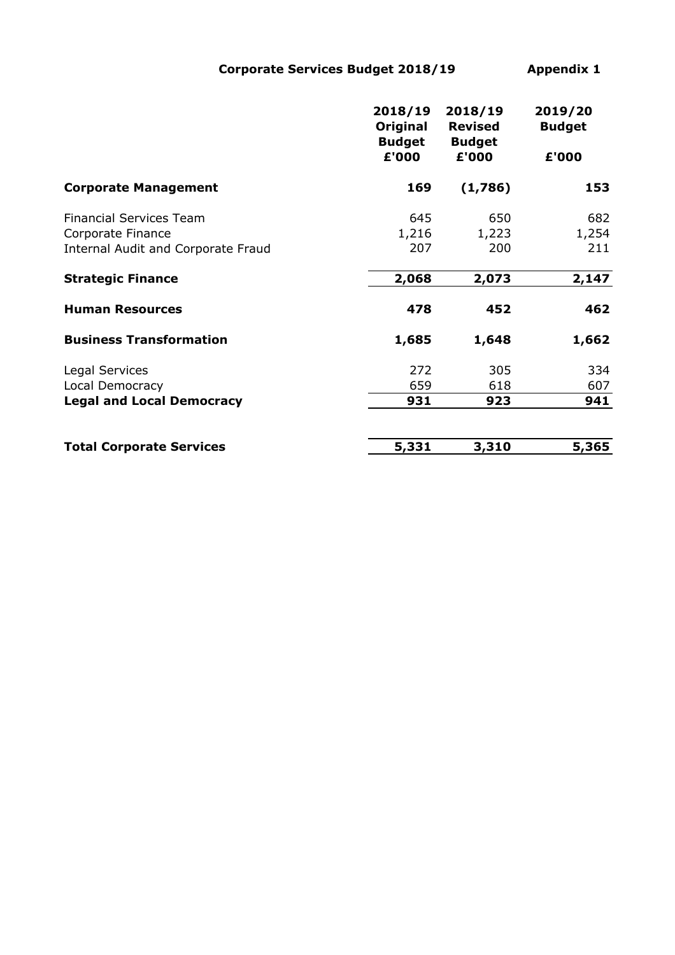Corporate Services Budget 2018/19 Appendix 1

| 2018/19<br>Original | 2018/19<br><b>Revised</b> | 2019/20<br><b>Budget</b> |
|---------------------|---------------------------|--------------------------|
| £'000               | £'000                     | £'000                    |
| 169                 | (1,786)                   | 153                      |
| 645                 | 650                       | 682                      |
| 1,216               | 1,223                     | 1,254                    |
| 207                 | 200                       | 211                      |
| 2,068               | 2,073                     | 2,147                    |
| 478                 | 452                       | 462                      |
| 1,685               | 1,648                     | 1,662                    |
| 272                 | 305                       | 334                      |
| 659                 | 618                       | 607                      |
| 931                 | 923                       | 941                      |
| 5,331               | 3,310                     | 5,365                    |
|                     | <b>Budget</b>             | <b>Budget</b>            |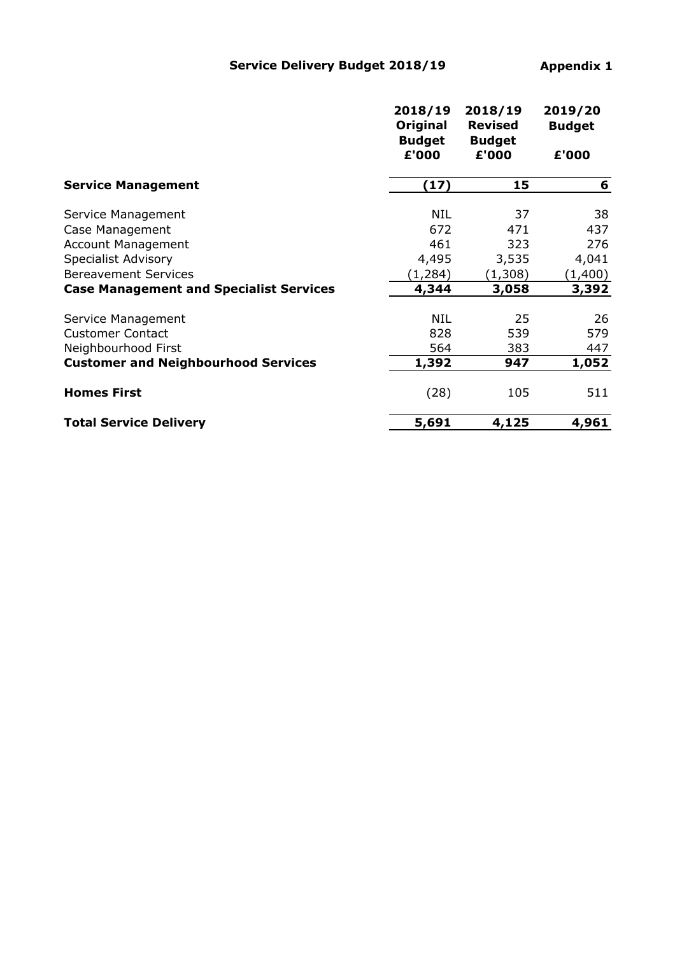|                                                | 2018/19<br>Original<br><b>Budget</b><br>£'000 | 2018/19<br><b>Revised</b><br><b>Budget</b><br>£'000 | 2019/20<br><b>Budget</b><br>£'000 |
|------------------------------------------------|-----------------------------------------------|-----------------------------------------------------|-----------------------------------|
| <b>Service Management</b>                      | (17)                                          | 15                                                  | 6                                 |
| Service Management                             | NIL                                           | 37                                                  | 38                                |
| Case Management                                | 672                                           | 471                                                 | 437                               |
| <b>Account Management</b>                      | 461                                           | 323                                                 | 276                               |
| <b>Specialist Advisory</b>                     | 4,495                                         | 3,535                                               | 4,041                             |
| <b>Bereavement Services</b>                    | (1, 284)                                      | (1,308)                                             | (1,400)                           |
| <b>Case Management and Specialist Services</b> | 4,344                                         | 3,058                                               | 3,392                             |
| Service Management                             | <b>NIL</b>                                    | 25                                                  | 26                                |
| <b>Customer Contact</b>                        | 828                                           | 539                                                 | 579                               |
| Neighbourhood First                            | 564                                           | 383                                                 | 447                               |
| <b>Customer and Neighbourhood Services</b>     | 1,392                                         | 947                                                 | 1,052                             |
| <b>Homes First</b>                             | (28)                                          | 105                                                 | 511                               |
| <b>Total Service Delivery</b>                  | 5,691                                         | 4,125                                               | 4,961                             |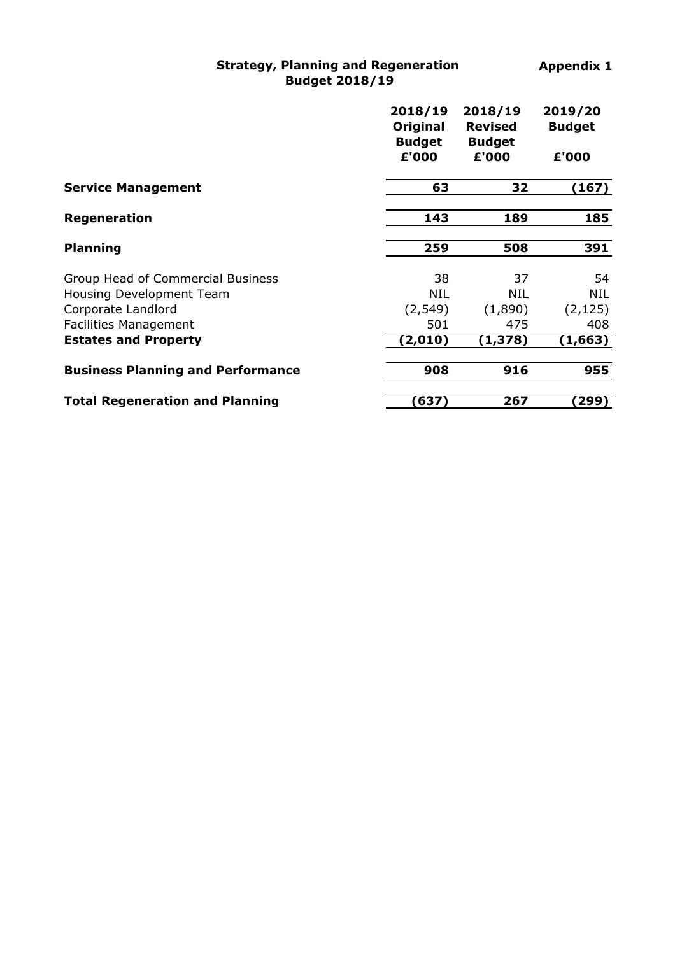## Strategy, Planning and Regeneration Budget 2018/19

|                                          | 2018/19<br>Original<br><b>Budget</b><br>£'000 | 2018/19<br><b>Revised</b><br><b>Budget</b><br>£'000 | 2019/20<br><b>Budget</b><br>£'000 |
|------------------------------------------|-----------------------------------------------|-----------------------------------------------------|-----------------------------------|
| <b>Service Management</b>                | 63                                            | 32                                                  | (167)                             |
| Regeneration                             | 143                                           | 189                                                 | 185                               |
| <b>Planning</b>                          | 259                                           | 508                                                 | 391                               |
| Group Head of Commercial Business        | 38                                            | 37                                                  | 54                                |
| Housing Development Team                 | NIL                                           | NIL                                                 | <b>NIL</b>                        |
| Corporate Landlord                       | (2, 549)                                      | (1,890)                                             | (2, 125)                          |
| <b>Facilities Management</b>             | 501                                           | 475                                                 | 408                               |
| <b>Estates and Property</b>              | (2,010)                                       | (1,378)                                             | (1,663)                           |
| <b>Business Planning and Performance</b> | 908                                           | 916                                                 | 955                               |
| <b>Total Regeneration and Planning</b>   | (637)                                         | 267                                                 | 299)                              |